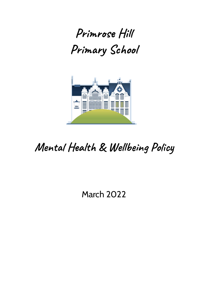



# **Mental Health & Wellbeing Policy**

March 2022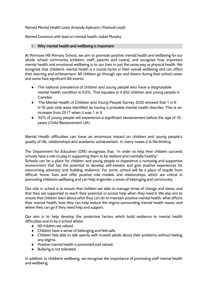Named Mental Health Lead: Amanda Aplicano ( Pastoral Lead)

Named Governor with lead on mental health: Isabel Murphy

#### 1. **Why mental health and wellbeing is important**

At Primrose Hill Primary School, we aim to promote positive mental health and wellbeing for our whole school community (children, staff, parents and carers), and recognise how important mental health and emotional wellbeing is to our lives in just the same way as physical health. We recognise that children's mental health is a crucial factor in their overall wellbeing and can affect their learning and achievement. All children go through ups and downs during their school career and some face significant life events.

- The national prevalence of children and young people who have a diagnosable mental health condition is 9.6%. This equates to 4,652 children and young people in Camden
- The Mental Health of Children and Young People Survey 2020 showed that 1 in 6 5-16 year olds were identified as having a probable mental health disorder. This is an increase from 2017 when it was 1 in 9
- 92% of young people will experience a significant bereavement before the age of 16 years (Child Bereavement UK).

Mental Health difficulties can have an enormous impact on children and young people's quality of life, relationships and academic achievement. In many cases it is life-limiting.

The Department for Education (DfE) recognises that: "in order to help their children succeed; schools have a role to play in supporting them to be resilient and mentally healthy".

Schools can be a place for children and young people to experience a nurturing and supportive environment that has the potential to develop self-esteem and give positive experiences for overcoming adversity and building resilience. For some, school will be a place of respite from difficult home lives and offer positive role models and relationships, which are critical in promoting children's wellbeing and can help engender a sense of belonging and community.

Our role in school is to ensure that children are able to manage times of change and stress, and that they are supported to reach their potential or access help when they need it. We also aim to ensure that children learn about what they can do to maintain positive mental health, what affects their mental health, how they can help reduce the stigma surrounding mental health issues, and where they can go if they need help and support.

Our aim is to help develop the protective factors which build resilience to mental health difficulties and to be a school where:

- All children are valued.
- Children have a sense of belonging and feel safe.
- Children feel able to talk openly with trusted adults about their problems without feeling any stigma.
- Positive mental health is promoted and valued.
- Bullying is not tolerated.

In addition to children's wellbeing, we recognise the importance of promoting staff mental health and wellbeing.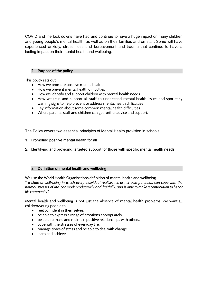COVID and the lock downs have had and continue to have a huge impact on many children and young people's mental health, as well as on their families and on staff. Some will have experienced anxiety, stress, loss and bereavement and trauma that continue to have a lasting impact on their mental health and wellbeing.

#### 2. **Purpose of the policy**

This policy sets out:

- How we promote positive mental health.
- How we prevent mental health difficulties
- How we identify and support children with mental health needs.
- How we train and support all staff to understand mental health issues and spot early warning signs to help prevent or address mental health difficulties
- Key information about some common mental health difficulties.
- Where parents, staff and children can get further advice and support.

The Policy covers two essential principles of Mental Health provision in schools

- 1. Promoting positive mental health for all
- 2. Identifying and providing targeted support for those with specific mental health needs

#### 3. **Definition of mental health and wellbeing**

We use the World Health Organisation's definition of mental health and wellbeing " a state of well-being in which every individual realises his or her own potential, can cope with the normal stresses of life, can work productively and fruitfully, and is able to make a contribution to her or *his community".*

Mental health and wellbeing is not just the absence of mental health problems. We want all children/young people to:

- feel confident in themselves.
- be able to express a range of emotions appropriately.
- be able to make and maintain positive relationships with others.
- cope with the stresses of everyday life.
- manage times of stress and be able to deal with change.
- learn and achieve.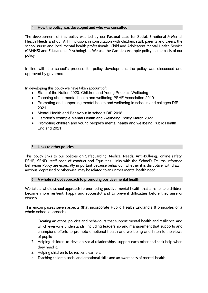#### 4. **How the policy was developed and who was consulted**

The development of this policy was led by our Pastoral Lead for Social, Emotional & Mental Health Needs and our AHT Inclusion, in consultation with children, staff, parents and carers, the school nurse and local mental health professionals Child and Adolescent Mental Health Service (CAMHS) and Educational Psychologists. We use the Camden example policy as the basis of our policy.

In line with the school's process for policy development, the policy was discussed and approved by governors.

In developing this policy we have taken account of:

- State of the Nation 2020: Children and Young People's Wellbeing
- Teaching about mental health and wellbeing PSHE Association 2019
- Promoting and supporting mental health and wellbeing in schools and colleges DfE 2021
- Mental Health and Behaviour in schools DfE 2018
- Camden's example Mental Health and Wellbeing Policy March 2022
- Promoting children and young people's mental health and wellbeing Public Health England 2021

#### 5. **Links to other policies**

This policy links to our policies on Safeguarding, Medical Needs, Anti-Bullying, ,online safety, PSHE, SEND, staff code of conduct and Equalities. Links with the School's Trauma Informed Behaviour Policy are especially important because behaviour, whether it is disruptive, withdrawn, anxious, depressed or otherwise, may be related to an unmet mental health need.

#### 6. **A whole school approach to promoting positive mental health**

We take a whole school approach to promoting positive mental health that aims to help children become more resilient, happy and successful and to prevent difficulties before they arise or worsen..

This encompasses seven aspects (that incorporate Public Health England's 8 principles of a whole school approach)

- 1. Creating an ethos, policies and behaviours that support mental health and resilience, and which everyone understands, including leadership and management that supports and champions efforts to promote emotional health and wellbeing and listen to the views of pupils
- 2. Helping children to develop social relationships, support each other and seek help when they need it.
- 3. Helping children to be resilient learners.
- 4. Teaching children social and emotional skills and an awareness of mental health.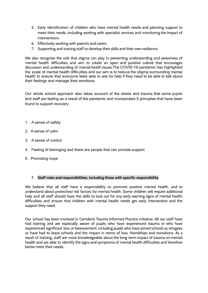- 5. Early identification of children who have mental health needs and planning support to meet their needs, including working with specialist services and monitoring the impact of interventions
- 6. Effectively working with parents and carers.
- 7. Supporting and training staff to develop their skills and their own resilience.

We also recognise the role that stigma can play in preventing understanding and awareness of mental health difficulties and aim to create an open and positive culture that encourages discussion and understanding of mental health issues.The COVID-19 pandemic has highlighted the scale of mental health difficulties and our aim is to reduce the stigma surrounding mental health to ensure that everyone feels able to ask for help if they need to be able to talk about their feelings and manage their emotions.

Our whole school approach also takes account of the stress and trauma that some pupils and staff are feeling as a result of the pandemic and incorporates 5 principles that have been found to support recovery

- 1. A sense of safety
- 2. A sense of calm
- 3. A sense of control
- 4. Feeling of belonging and there are people that can provide support
- 5. Promoting hope

#### 7. **Staff roles and responsibilities, including those with specific responsibility**

We believe that all staff have a responsibility to promote positive mental health, and to understand about protective/ risk factors for mental health. Some children will require additional help and all staff should have the skills to look out for any early warning signs of mental health difficulties and ensure that children with mental health needs get early intervention and the support they need.

Our school has been involved in Camden's Trauma Informed Practice initiative. All our staff have had training and are especially aware of pupils who have experienced trauma or who have experienced significant loss or bereavement, including pupils who have joined schools as refugees or have had to leave schools and the impact in terms of loss, friendships and transitions. As a result of training, staff are more knowledgeable about the long-term impact of trauma on mental health and are able to identify the signs and symptoms of mental health difficulties and therefore better meet their needs.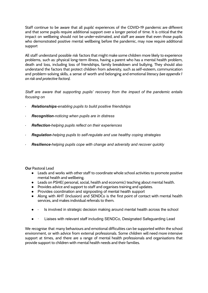Staff continue to be aware that all pupils' experiences of the COVID-19 pandemic are different and that some pupils require additional support over a longer period of time. It is critical that the impact on wellbeing should not be under-estimated, and staff are aware that even those pupils who demonstrated positive mental wellbeing before the pandemic, may now require additional support

All staff understand possible risk factors that might make some children more likely to experience problems, such as: physical long-term illness, having a parent who has a mental health problem, death and loss, including loss of friendships, family breakdown and bullying. They should also understand the factors that protect children from adversity, such as self-esteem, communication and problem-solving skills, a sense of worth and belonging and emotional literacy *(see appendix 1 on risk and protective factors).*

*Staff are aware that supporting pupils' recovery from the impact of the pandemic entails focusing on*

- *· Relationships-enabling pupils to build positive friendships*
- *· Recognition-noticing when pupils are in distress*
- *· Reflection-helping pupils reflect on their experiences*
- *· Regulation-helping pupils to self-regulate and use healthy coping strategies*
- *· Resilience-helping pupils cope with change and adversity and recover quickly*

**Our** Pastoral Lead

- Leads and works with other staff to coordinate whole school activities to promote positive mental health and wellbeing.
- Leads on PSHE( personal, social, health and economic) teaching about mental health.
- Provides advice and support to staff and organises training and updates.
- Provides coordination and signposting of mental health support
- Along with AHT (Inclusion) and SENDCo is the first point of contact with mental health services, and makes individual referrals to them.
- Is involved in strategic decision making around mental health across the school
- · Liaises with relevant staff including SENDCo, Designated Safeguarding Lead

We recognise that many behaviours and emotional difficulties can be supported within the school environment, or with advice from external professionals. Some children will need more intensive support at times, and there are a range of mental health professionals and organisations that provide support to children with mental health needs and their families.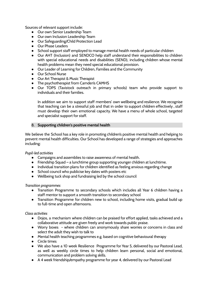Sources of relevant support include:

- Our own Senior Leadership Team
- Our own Inclusion Leadership Team
- Our Safeguarding/Child Protection Lead
- Our Phase Leaders
- School support staff employed to manage mental health needs of particular children
- Our AHT (Inclusion) and SENDCO help staff understand their responsibilities to children with special educational needs and disabilities (SEND), including children whose mental health problems mean they need special educational provision.
- Our Leader of Learning for Children, Families and the Community
- Our School Nurse
- Our Art Therapist & Music Therapist
- The psychotherapist from Camden's CAMHS
- Our TOPS (Tavistock outreach in primary schools) team who provide support to individuals and their families.

In addition we aim to support staff members' own wellbeing and resilience. We recognise that teaching can be a stressful job and that in order to support children effectively , staff must develop their own emotional capacity. We have a menu of whole school, targeted and specialist support for staff.

#### 8. **Supporting children's positive mental health**

We believe the School has a key role in promoting children's positive mental health and helping to prevent mental health difficulties. Our School has developed a range of strategies and approaches including:

#### *Pupil-led activities*

- Campaigns and assemblies to raise awareness of mental health.
- Friendship Squad a lunchtime group supporting younger children at lunchtime.
- Individual transition plans for children identified as feeling anxious regarding change
- School council who publicise key dates with posters etc
- Wellbeing tuck shop and fundraising led by the school council

#### *Transition programmes*

- Transition Programme to secondary schools which includes all Year 6 children having a staff mentor to support a smooth transition to secondary school
- Transition Programme for children new to school, including home visits, gradual build up to full-time and open afternoons.

#### *Class activities*

- Dojos, a mechanism where children can be praised for effort applied, tasks achieved and a collaborative attitude are given freely and work towards public praise.
- Worry boxes where children can anonymously share worries or concerns in class and select the adult they wish to talk to
- Mental health teaching programmes e.g. based on cognitive behavioural therapy
- Circle times
- We also have a 10 week Resilience Programme for Year 5, delivered by our Pastoral Lead, as well as weekly circle times to help children learn personal, social and emotional, communication and problem solving skills.
- A 4 week friendship/empathy programme for year 4, delivered by our Pastoral Lead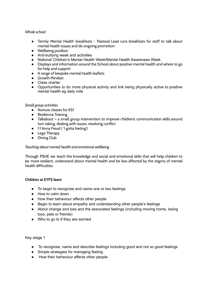#### *Whole school*

- Termly Mental Health breakfasts Pastoral Lead runs breakfasts for staff to talk about mental health issues and do ongoing promotion
- Wellbeing postbox
- Anti-bullying week and activities
- National Children's Mental Health Week/Mental Health Awareness Week
- Displays and information around the School about positive mental health and where to go for help and support
- A range of bespoke mental health leaflets
- **•** Growth Mindset
- Class charter
- Opportunities to do more physical activity and link being physically active to positive mental health eg daily mile

#### *Small group activities*

- Nurture classes for KS1
- Resilience Training
- Talkabout a small group intervention to improve children's communication skills around turn taking, dealing with issues, resolving conflict
- 1:1 Anna Freud ( 'I gotta feeling')
- Lego Therapy
- Dining Club

#### *Teaching about mental health and emotional wellbeing*

Through PSHE we teach the knowledge and social and emotional skills that will help children to be more resilient, understand about mental health and be less affected by the stigma of mental health difficulties.

#### **Children at EYFS learn**

- To begin to recognise and name one or two feelings
- How to calm down
- How their behaviour affects other people
- Begin to learn about empathy and understanding other people's feelings
- About change and loss and the associated feelings (including moving home, losing toys, pets or friends)
- Who to go to if they are worried

Key stage 1

- To recognise, name and describe feelings including good and not so good feelings
- Simple strategies for managing feeling
- How their behaviour affects other people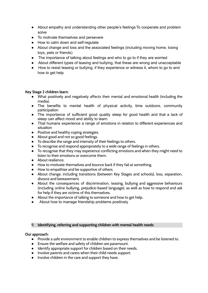- About empathy and understanding other people's feelings To cooperate and problem solve
- To motivate themselves and persevere
- How to calm down and self-regulate
- About change and loss and the associated feelings (including moving home, losing toys, pets or friends)
- The importance of talking about feelings and who to go to if they are worried
- About different types of teasing and bullying, that these are wrong and unacceptable
- How to resist teasing or bullying, if they experience or witness it, whom to go to and how to get help

#### **Key Stage 2 children learn:**

- What positively and negatively affects their mental and emotional health (including the media).
- The benefits to mental health of physical activity, time outdoors, community participation
- The importance of sufficient good quality sleep for good health and that a lack of sleep can affect mood and ability to learn
- That humans experience a range of emotions in relation to different experiences and situation
- Positive and healthy coping strategies.
- About good and not so good feelings.
- To describe the range and intensity of their feelings to others.
- To recognise and respond appropriately to a wide range of feelings in others.
- To recognise that they may experience conflicting emotions and when they might need to listen to their emotions or overcome them.
- About resilience.
- How to motivate themselves and bounce back if they fail at something.
- How to empathise and be supportive of others.
- About change, including transitions (between Key Stages and schools), loss, separation, divorce and bereavement.
- About the consequences of discrimination, teasing, bullying and aggressive behaviours (including online bullying, prejudice-based language), as well as how to respond and ask for help if they are victims of this themselves.
- About the importance of talking to someone and how to get help.
- About how to manage friendship problems positively

#### 9. **Identifying, referring and supporting children with mental health needs**

#### **Our approach:**

- Provide a safe environment to enable children to express themselves and be listened to.
- Ensure the welfare and safety of children are paramount.
- Identify appropriate support for children based on their needs.
- Involve parents and carers when their child needs support.
- Involve children in the care and support they have.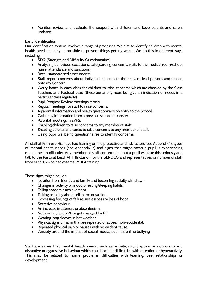● Monitor, review and evaluate the support with children and keep parents and carers updated.

#### **Early Identification**

Our identification system involves a range of processes. We aim to identify children with mental health needs as early as possible to prevent things getting worse. We do this in different ways including:

- SDQ (Strength and Difficulty Questionnaires),
- Analysing behaviour, exclusions, safeguarding concerns, visits to the medical room/school nurse, attendance and sanctions.
- Boxall standardised assessments.
- Staff report concerns about individual children to the relevant lead persons and upload onto My Concern.
- Worry boxes in each class for children to raise concerns which are checked by the Class Teachers and Pastoral Lead (these are anonymous but give an indication of needs in a particular class regularly).
- Pupil Progress Review meetings termly
- Regular meetings for staff to raise concerns.
- A parental information and health questionnaire on entry to the School.
- Gathering information from a previous school at transfer.
- Parental meetings in EYFS.
- Enabling children to raise concerns to any member of staff.
- Enabling parents and carers to raise concerns to any member of staff.
- Using pupil wellbeing questionnaires to identify concerns

All staff at Primrose Hill have had training on the protective and risk factors (see Appendix 1), types of mental health needs (see Appendix 2) and signs that might mean a pupil is experiencing mental health difficulty. Any member of staff concerned about a pupil will take this seriously and talk to the Pastoral Lead, AHT (Inclusion) or the SENDCO and representatives or number of staff from each KS who had external MHFA training.

These signs might include:

- Isolation from friends and family and becoming socially withdrawn.
- Changes in activity or mood or eating/sleeping habits.
- Falling academic achievement.
- Talking or joking about self-harm or suicide.
- Expressing feelings of failure, uselessness or loss of hope.
- Secretive behaviour.
- An increase in lateness or absenteeism.
- Not wanting to do PE or get changed for PE.
- Wearing long sleeves in hot weather.
- Physical signs of harm that are repeated or appear non-accidental.
- Repeated physical pain or nausea with no evident cause.
- Anxiety around the impact of social media, such as online bullying

Staff are aware that mental health needs, such as anxiety, might appear as non compliant, disruptive or aggressive behaviour which could include difficulties with attention or hyperactivity. This may be related to home problems, difficulties with learning, peer relationships or development.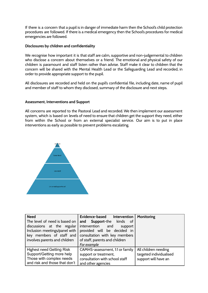If there is a concern that a pupil is in danger of immediate harm then the School's child protection procedures are followed. If there is a medical emergency then the School's procedures for medical emergencies are followed.

#### **Disclosures by children and confidentiality**

We recognise how important it is that staff are calm, supportive and non-judgemental to children who disclose a concern about themselves or a friend. The emotional and physical safety of our children is paramount and staff listen rather than advise. Staff make it clear to children that the concern will be shared with the Mental Health Lead or the Safeguarding Lead and recorded, in order to provide appropriate support to the pupil.

All disclosures are recorded and held on the pupil's confidential file, including date, name of pupil and member of staff to whom they disclosed, summary of the disclosure and next steps.

#### **Assessment, Interventions and Support**

All concerns are reported to the Pastoral Lead and recorded. We then implement our assessment system, which is based on levels of need to ensure that children get the support they need, either from within the School or from an external specialist service. Our aim is to put in place interventions as early as possible to prevent problems escalating.



| <b>Need</b>                   | Evidence-based<br>Intervention  | Monitoring              |  |
|-------------------------------|---------------------------------|-------------------------|--|
| The level of need is based on | Support-the kinds of<br>and     |                         |  |
| discussions at the regular    | intervention and<br>support     |                         |  |
| Inclusion meetings/panel with | provided will be decided in     |                         |  |
| key members of staff and      | consultation with key members   |                         |  |
| involves parents and children | of staff, parents and children  |                         |  |
|                               | For example                     |                         |  |
| Highest need Getting Risk     | CAMHS-assessment, 1:1 or family | All children needing    |  |
| Support/Getting more help     | support or treatment,           | targeted individualised |  |
| Those with complex needs      | consultation with school staff  | support will have an    |  |
| and risk and those that don't | and other agencies              |                         |  |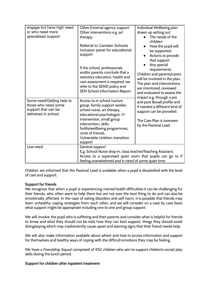| engage but have high need<br>or who need more                                                  | Other External agency support<br>Other interventions e.g. art                                                                                                                                          | Individual Wellbeing plan<br>drawn up setting out                                                                                                                                                                |
|------------------------------------------------------------------------------------------------|--------------------------------------------------------------------------------------------------------------------------------------------------------------------------------------------------------|------------------------------------------------------------------------------------------------------------------------------------------------------------------------------------------------------------------|
| specialised support                                                                            | therapy,                                                                                                                                                                                               | The needs of the<br>children                                                                                                                                                                                     |
|                                                                                                | <b>Referral to Camden Schools</b><br>Inclusion panel for educational<br>support                                                                                                                        | How the pupil will<br>be supported<br>Actions to provide<br>that support                                                                                                                                         |
|                                                                                                | If the school, professionals<br>and/or parents conclude that a<br>statutory education, health and<br>care assessment is required, we<br>refer to the SEND policy and<br>SEN School Information Report. | Any special<br>requirements<br>Children and parents/carers<br>will be involved in the plan.<br>The plan and interventions<br>are monitored, reviewed<br>and evaluated to assess the<br>impact e.g. through a pre |
| Some need/Getting help to<br>those who need some<br>support that can be<br>delivered in school | Access to in school nurture<br>group, family support worker,<br>school nurse, art therapy,<br>educational psychologist, 1:1                                                                            | and post Boxall profile and<br>if needed a different kind of<br>support can be provided.                                                                                                                         |
|                                                                                                | intervention, small group<br>intervention, skills<br>forlife/wellbeing programmes,<br>circle of friends.<br>Vulnerable children transition<br>support                                                  | The Care Plan is overseen<br>by the Pastoral Lead.                                                                                                                                                               |
| Low need                                                                                       | General support<br>E.g. School Nurse drop in, class teacher/Teaching Assistant,<br>Access to a supervised quiet room that pupils can go to if<br>feeling overwhelmed and in need of some quiet time    |                                                                                                                                                                                                                  |
|                                                                                                |                                                                                                                                                                                                        |                                                                                                                                                                                                                  |
|                                                                                                |                                                                                                                                                                                                        |                                                                                                                                                                                                                  |

Children are informed that the Pastoral Lead is available when a pupil is dissatisfied with the level of care and support.

# **Support for friends**

We recognise that when a pupil is experiencing mental health difficulties it can be challenging for their friends, who often want to help them but are not sure the best thing to do and can also be emotionally affected. In the case of eating disorders and self harm, it is possible that friends may learn unhealthy coping strategies from each other, and we will consider on a case by case basis what support might be appropriate including one to one and group support.

We will involve the pupil who is suffering and their parents and consider what is helpful for friends to know and what they should not be told, how they can best support, things they should avoid doing/saying which may inadvertently cause upset and warning signs that their friend needs help.

We will also make information available about where and how to access information and support for themselves and healthy ways of coping with the difficult emotions they may be feeling.

We have a Friendship Squad comprised of KS2 children who aim to support children's social/ play skills during the lunch period.

#### **Support for children after inpatient treatment**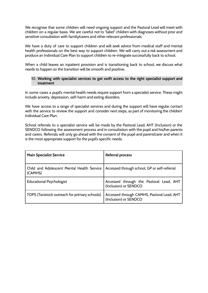We recognise that some children will need ongoing support and the Pastoral Lead will meet with children on a regular basis. We are careful not to "label" children with diagnoses without prior and sensitive consultation with family/carers and other relevant professionals.

We have a duty of care to support children and will seek advice from medical staff and mental health professionals on the best way to support children. We will carry out a risk assessment and produce an Individual Care Plan to support children to re-integrate successfully back to school.

When a child leaves an inpatient provision and is transitioning back to school, we discuss what needs to happen so the transition will be smooth and positive.

#### 10. **Working with specialist services to get swift access to the right specialist support and treatment**

In some cases a pupil's mental health needs require support from a specialist service. These might include anxiety, depression, self-harm and eating disorders.

We have access to a range of specialist services and during the support will have regular contact with the service to review the support and consider next steps, as part of monitoring the children' Individual Care Plan.

School referrals to a specialist service will be made by the Pastoral Lead, AHT (Inclusion) or the SENDCO following the assessment process and in consultation with the pupil and his/her parents and carers. Referrals will only go ahead with the consent of the pupil and parent/carer and when it is the most appropriate support for the pupil's specific needs.

| <b>Main Specialist Service</b>                        | <b>Referral process</b>                                             |
|-------------------------------------------------------|---------------------------------------------------------------------|
| Child and Adolescent Mental Health Service<br>(CAMHS) | Accessed through school, GP or self-referral                        |
| <b>Educational Psychologist</b>                       | Accessed through the Pastoral Lead, AHT<br>(Inclusion) or SENDCO    |
| TOPS (Tavistock outreach for primary schools)         | Accessed through CAMHS, Pastoral Lead, AHT<br>(Inclusion) or SENDCO |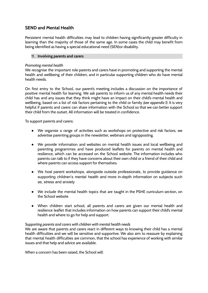# **SEND and Mental Health**

Persistent mental health difficulties may lead to children having significantly greater difficulty in learning than the majority of those of the same age. In some cases the child may benefit from being identified as having a special educational need (SEN)or disability.

#### 11. **Involving parents and carers**

#### *Promoting mental health*

We recognise the important role parents and carers have in promoting and supporting the mental health and wellbeing of their children, and in particular supporting children who do have mental health needs.

On first entry to the School, our parent's meeting includes a discussion on the importance of positive mental health for learning. We ask parents to inform us of any mental health needs their child has and any issues that they think might have an impact on their child's mental health and wellbeing, based on a list of risk factors pertaining to the child or family *(see appendix 1)*. It is very helpful if parents and carers can share information with the School so that we can better support their child from the outset. All information will be treated in confidence.

To support parents and carers:

- We organise a range of activities such as workshops on protective and risk factors, we advertise parenting groups in the newsletter, webinars and signpposting.
- We provide information and websites on mental health issues and local wellbeing and parenting programmes and have produced leaflets for parents on mental health and resilience, which can be accessed on the School website. The information includes who parents can talk to if they have concerns about their own child or a friend of their child and where parents can access support for themselves.
- We host parent workshops, alongside outside professionals, to provide guidance on supporting children's mental health and more in-depth information on subjects such as, stress and anxiety
- We include the mental health topics that are taught in the PSHE curriculum section, on the School website
- When children start school, all parents and carers are given our mental health and resilience leaflet that includes information on how parents can support their child's mental health and where to go for help and support.

#### *Supporting parents and carers with children with mental health needs*

We are aware that parents and carers react in different ways to knowing their child has a mental health difficulties and we will be sensitive and supportive. We also aim to reassure by explaining that mental health difficulties are common, that the school has experience of working with similar issues and that help and advice are available.

When a concern has been raised, the School will: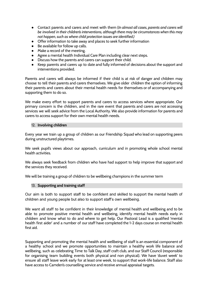- Contact parents and carers and meet with them (*In almost all cases, parents and carers will be involved in their children's interventions, although there may be circumstances when this may not happen, such as where child protection issues are identified.)*
- Offer information to take away and places to seek further information
- Be available for follow up calls.
- Make a record of the meeting.
- Agree a mental health Individual Care Plan including clear next steps.
- Discuss how the parents and carers can support their child.
- Keep parents and carers up to date and fully informed of decisions about the support and interventions provided.

Parents and carers will always be informed if their child is at risk of danger and children may choose to tell their parents and carers themselves. We give older children the option of informing their parents and carers about their mental health needs for themselves or of accompanying and supporting them to do so.

We make every effort to support parents and carers to access services where appropriate. Our primary concern is the children, and in the rare event that parents and carers are not accessing services we will seek advice from the Local Authority. We also provide information for parents and carers to access support for their own mental health needs.

#### 12. **Involving children**

Every year we train up a group of children as our Friendship Squad who lead on supporting peers during unstructured playtimes.

We seek pupil's views about our approach, curriculum and in promoting whole school mental health activities.

We always seek feedback from children who have had support to help improve that support and the services they received.

We will be training a group of children to be wellbeing champions in the summer term

#### 13. **Supporting and training staff**

Our aim is both to support staff to be confident and skilled to support the mental health of children and young people but also to support staff's own wellbeing.

We want all staff to be confident in their knowledge of mental health and wellbeing and to be able to promote positive mental health and wellbeing, identify mental health needs early in children and know what to do and where to get help. Our Pastoral Lead is a qualified 'mental health first aider' and a number of our staff have completed the 1-2 days course on mental health first aid.

Supporting and promoting the mental health and wellbeing of staff is an essential component of a healthy school and we promote opportunities to maintain a healthy work life balance and wellbeing, such as celebrating Time to Talk Day, staff craft club, and our Staff Council (responsible for organising team building events both physical and non physical). We have 'duvet week' to ensure all staff leave work early for at least one week, to support that work-life balance. Staff also have access to Camden's counselling service and receive annual appraisal targets.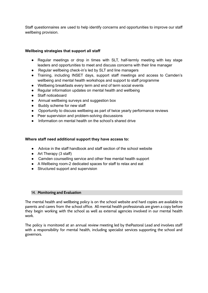Staff questionnaires are used to help identify concerns and opportunities to improve our staff wellbeing provision.

#### **Wellbeing strategies that support all staff**

- Regular meetings or drop in times with SLT, half-termly meeting with key stage leaders and opportunities to meet and discuss concerns with their line manager
- Regular wellbeing check-in's led by SLT and line managers
- Training, including INSET days, support staff meetings and access to Camden's wellbeing and mental health workshops and support to staff programme
- Wellbeing breakfasts every term and end of term social events
- Regular information updates on mental health and wellbeing
- Staff noticeboard
- Annual wellbeing surveys and suggestion box
- Buddy scheme for new staff
- Opportunity to discuss wellbeing as part of twice yearly performance reviews
- Peer supervision and problem-solving discussions
- Information on mental health on the school's shared drive

#### **Where staff need additional support they have access to:**

- Advice in the staff handbook and staff section of the school website
- Art Therapy (3 staff)
- Camden counselling service and other free mental health support
- A Wellbeing room-2 dedicated spaces for staff to relax and eat
- Structured support and supervision

#### 14. **Monitoring and Evaluation**

The mental health and wellbeing policy is on the school website and hard copies are available to parents and carers from the school office. All mental health professionals are given a copy before they begin working with the school as well as external agencies involved in our mental health work.

The policy is monitored at an annual review meeting led by thePastoral Lead and involves staff with a responsibility for mental health, including specialist services supporting the school and governors.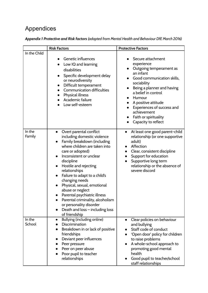# Appendices

| Appendix 1 Protective and Risk factors (adapted from Mental Health and Behaviour DfE March 2016) |
|--------------------------------------------------------------------------------------------------|
|--------------------------------------------------------------------------------------------------|

| <b>Risk Factors</b> |                                                                                                                                                                                                                                                                                                                                                                                                                                                                                                                               | <b>Protective Factors</b>                                                                                                                                                                                                                                                                               |  |
|---------------------|-------------------------------------------------------------------------------------------------------------------------------------------------------------------------------------------------------------------------------------------------------------------------------------------------------------------------------------------------------------------------------------------------------------------------------------------------------------------------------------------------------------------------------|---------------------------------------------------------------------------------------------------------------------------------------------------------------------------------------------------------------------------------------------------------------------------------------------------------|--|
| In the Child        | Genetic influences<br>Low IQ and learning<br>disabilities<br>Specific development delay<br>$\bullet$<br>or neurodiversity<br>Difficult temperament<br><b>Communication difficulties</b><br>Physical illness<br>Academic failure<br>Low self-esteem                                                                                                                                                                                                                                                                            | Secure attachment<br>experience<br>Outgoing temperament as<br>an infant<br>Good communication skills,<br>sociability<br>Being a planner and having<br>a belief in control<br>Humour<br>A positive attitude<br>Experiences of success and<br>achievement<br>Faith or spirituality<br>Capacity to reflect |  |
| In the<br>Family    | Overt parental conflict<br>$\bullet$<br>including domestic violence<br>Family breakdown (including<br>where children are taken into<br>care or adopted)<br>Inconsistent or unclear<br>discipline<br>Hostile and rejecting<br>$\bullet$<br>relationships<br>Failure to adapt to a child's<br>$\bullet$<br>changing needs<br>Physical, sexual, emotional<br>abuse or neglect<br>Parental psychiatric illness<br>Parental criminality, alcoholism<br>or personality disorder<br>Death and loss - including loss<br>of friendship | At least one good parent-child<br>$\bullet$<br>relationship (or one supportive<br>adult)<br>Affection<br>$\bullet$<br>Clear, consistent discipline<br>$\bullet$<br>Support for education<br>$\bullet$<br>Supportive long term<br>$\bullet$<br>relationship or the absence of<br>severe discord          |  |
| In the<br>School    | Bullying (including online)<br>$\bullet$<br>Discrimination<br>Breakdown in or lack of positive<br>friendships<br>Deviant peer influences<br>$\bullet$<br>Peer pressure<br>Peer on peer abuse<br>Poor pupil to teacher<br>relationships                                                                                                                                                                                                                                                                                        | Clear policies on behaviour<br>$\bullet$<br>and bullying<br>Staff code of conduct<br>'Open door' policy for children<br>to raise problems<br>A whole-school approach to<br>promoting good mental<br>health<br>Good pupil to teacher/school<br>staff relationships                                       |  |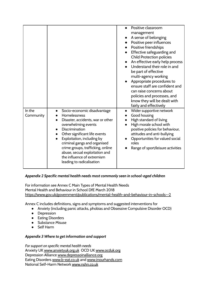|                     |                                                                                                                                                                                                                                                                                                                                                                                                          | Positive classroom<br>management<br>A sense of belonging<br>Positive peer influences<br>Positive friendships<br>Effective safeguarding and<br><b>Child Protection policies</b><br>An effective early help process<br>$\bullet$<br>Understand their role in and<br>be part of effective<br>multi-agency working<br>Appropriate procedures to<br>ensure staff are confident and<br>can raise concerns about<br>policies and processes, and<br>know they will be dealt with<br>fairly and effectively |
|---------------------|----------------------------------------------------------------------------------------------------------------------------------------------------------------------------------------------------------------------------------------------------------------------------------------------------------------------------------------------------------------------------------------------------------|----------------------------------------------------------------------------------------------------------------------------------------------------------------------------------------------------------------------------------------------------------------------------------------------------------------------------------------------------------------------------------------------------------------------------------------------------------------------------------------------------|
| In the<br>Community | Socio-economic disadvantage<br>$\bullet$<br>Homelessness<br>Disaster, accidents, war or other<br>overwhelming events<br><b>Discrimination</b><br>$\bullet$<br>Other significant life events<br>$\bullet$<br>Exploitation, including by<br>criminal gangs and organised<br>crime groups, trafficking, online<br>abuse, secual exploitation and<br>the influence of extremism<br>leading to radicalisation | Wider supportive network<br>$\bullet$<br>Good housing<br>High standard of living<br>High morale school with<br>positive policies for behaviour,<br>attitudes and anti-bullying<br>Opportunities for valued social<br>roles<br>Range of sport/leisure activities                                                                                                                                                                                                                                    |

# *Appendix 2 Specific mental health needs most commonly seen in school-aged children*

For information see Annex C Main Types of Mental Health Needs Mental Health and Behaviour in School DfE March 2018 <https://www.gov.uk/government/publications/mental-health-and-behaviour-in-schools--2>

Annex C includes definitions, signs and symptoms and suggested interventions for

- Anxiety (including panic attacks, phobias and Obsessive Compulsive Disorder OCD)
- Depression
- Eating Disorders
- Substance Misuse
- Self Harm

# *Appendix 3 Where to get information and support*

*For support on specific mental health needs* Anxiety UK [www.anxietyuk.org.uk](http://www.anxietyuk.org.uk) OCD UK [www.ocduk.org](http://www.ocduk.org) Depression Alliance [www.depressoinalliance.org](http://www.depressoinalliance.org) Eating Disorders [www.b-eat.co.uk](http://www.b-eat.co.uk) and [www.inourhands.com](http://www.inourhands.com) National Self-Harm Network [www.nshn.co.uk](http://www.nshn.co.uk)